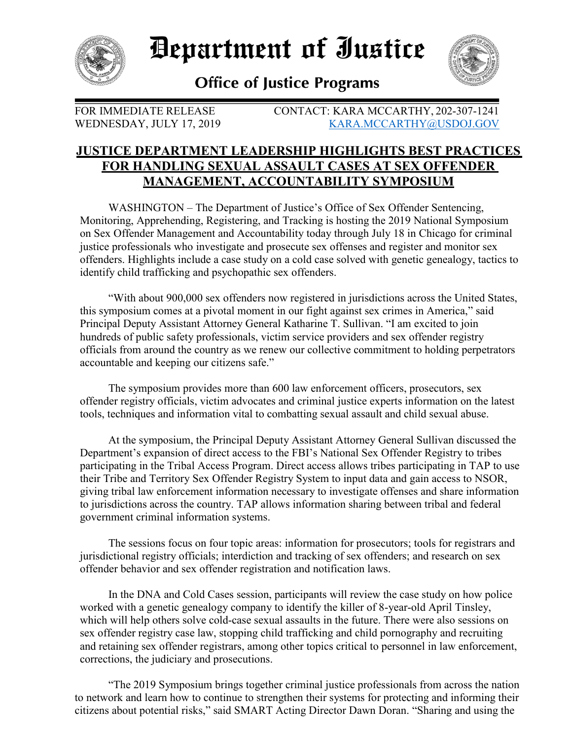

Department of Iustice



**Office of Justice Programs** 

FOR IMMEDIATE RELEASE CONTACT: KARA MCCARTHY, 202-307-1241 WEDNESDAY, JULY 17, 2019 [KARA.MCCARTHY@USDOJ.GOV](mailto:KARA.MCCARTHY@USDOJ.GOV)

## **JUSTICE DEPARTMENT LEADERSHIP HIGHLIGHTS BEST PRACTICES FOR HANDLING SEXUAL ASSAULT CASES AT SEX OFFENDER MANAGEMENT, ACCOUNTABILITY SYMPOSIUM**

WASHINGTON – The Department of Justice's Office of Sex Offender Sentencing, Monitoring, Apprehending, Registering, and Tracking is hosting the 2019 National Symposium on Sex Offender Management and Accountability today through July 18 in Chicago for criminal justice professionals who investigate and prosecute sex offenses and register and monitor sex offenders. Highlights include a case study on a cold case solved with genetic genealogy, tactics to identify child trafficking and psychopathic sex offenders.

"With about 900,000 sex offenders now registered in jurisdictions across the United States, this symposium comes at a pivotal moment in our fight against sex crimes in America," said Principal Deputy Assistant Attorney General Katharine T. Sullivan. "I am excited to join hundreds of public safety professionals, victim service providers and sex offender registry officials from around the country as we renew our collective commitment to holding perpetrators accountable and keeping our citizens safe."

The symposium provides more than 600 law enforcement officers, prosecutors, sex offender registry officials, victim advocates and criminal justice experts information on the latest tools, techniques and information vital to combatting sexual assault and child sexual abuse.

At the symposium, the Principal Deputy Assistant Attorney General Sullivan discussed the Department's expansion of direct access to the FBI's National Sex Offender Registry to tribes participating in the Tribal Access Program. Direct access allows tribes participating in TAP to use their Tribe and Territory Sex Offender Registry System to input data and gain access to NSOR, giving tribal law enforcement information necessary to investigate offenses and share information to jurisdictions across the country. TAP allows information sharing between tribal and federal government criminal information systems.

The sessions focus on four topic areas: information for prosecutors; tools for registrars and jurisdictional registry officials; interdiction and tracking of sex offenders; and research on sex offender behavior and sex offender registration and notification laws.

In the DNA and Cold Cases session, participants will review the case study on how police worked with a genetic genealogy company to identify the killer of 8-year-old April Tinsley, which will help others solve cold-case sexual assaults in the future. There were also sessions on sex offender registry case law, stopping child trafficking and child pornography and recruiting and retaining sex offender registrars, among other topics critical to personnel in law enforcement, corrections, the judiciary and prosecutions.

"The 2019 Symposium brings together criminal justice professionals from across the nation to network and learn how to continue to strengthen their systems for protecting and informing their citizens about potential risks," said SMART Acting Director Dawn Doran. "Sharing and using the